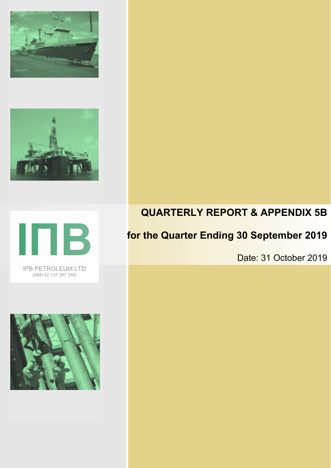







# **QUARTERLY REPORT & APPENDIX 5B**

## **for the Quarter Ending 30 September 2019**

Date: 31 October 2019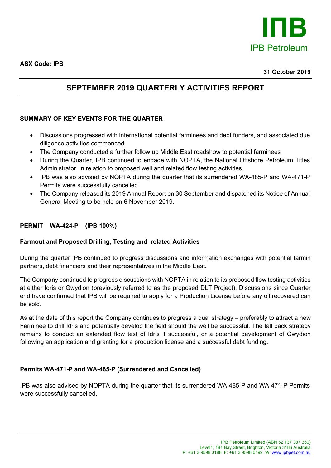

### **SEPTEMBER 2019 QUARTERLY ACTIVITIES REPORT**

#### **SUMMARY OF KEY EVENTS FOR THE QUARTER**

- Discussions progressed with international potential farminees and debt funders, and associated due diligence activities commenced.
- The Company conducted a further follow up Middle East roadshow to potential farminees
- During the Quarter, IPB continued to engage with NOPTA, the National Offshore Petroleum Titles Administrator, in relation to proposed well and related flow testing activities.
- IPB was also advised by NOPTA during the quarter that its surrendered WA-485-P and WA-471-P Permits were successfully cancelled.
- The Company released its 2019 Annual Report on 30 September and dispatched its Notice of Annual General Meeting to be held on 6 November 2019.

#### **PERMIT WA-424-P (IPB 100%)**

#### **Farmout and Proposed Drilling, Testing and related Activities**

During the quarter IPB continued to progress discussions and information exchanges with potential farmin partners, debt financiers and their representatives in the Middle East.

The Company continued to progress discussions with NOPTA in relation to its proposed flow testing activities at either Idris or Gwydion (previously referred to as the proposed DLT Project). Discussions since Quarter end have confirmed that IPB will be required to apply for a Production License before any oil recovered can be sold.

As at the date of this report the Company continues to progress a dual strategy – preferably to attract a new Farminee to drill Idris and potentially develop the field should the well be successful. The fall back strategy remains to conduct an extended flow test of Idris if successful, or a potential development of Gwydion following an application and granting for a production license and a successful debt funding.

#### **Permits WA-471-P and WA-485-P (Surrendered and Cancelled)**

IPB was also advised by NOPTA during the quarter that its surrendered WA-485-P and WA-471-P Permits were successfully cancelled.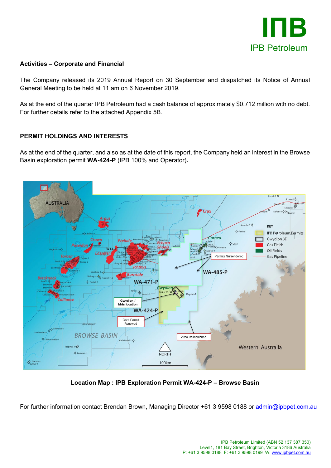

#### **Activities – Corporate and Financial**

The Company released its 2019 Annual Report on 30 September and diispatched its Notice of Annual General Meeting to be held at 11 am on 6 November 2019.

As at the end of the quarter IPB Petroleum had a cash balance of approximately \$0.712 million with no debt. For further details refer to the attached Appendix 5B.

#### **PERMIT HOLDINGS AND INTERESTS**

As at the end of the quarter, and also as at the date of this report, the Company held an interest in the Browse Basin exploration permit **WA-424-P** (IPB 100% and Operator)**.**



**Location Map : IPB Exploration Permit WA-424-P – Browse Basin**

For further information contact Brendan Brown, Managing Director +61 3 9598 0188 or [admin@ipbpet.com.au](mailto:admin@ipbpet.com.au)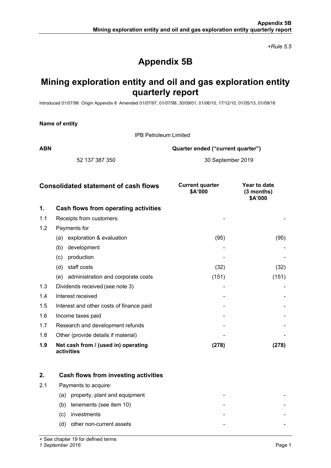*+Rule 5.5*

## **Appendix 5B**

### **Mining exploration entity and oil and gas exploration entity quarterly report**

Introduced 01/07/96 Origin Appendix 8 Amended 01/07/97, 01/07/98, 30/09/01, 01/06/10, 17/12/10, 01/05/13, 01/09/16

| Name of entity |  |  |
|----------------|--|--|
|----------------|--|--|

IPB Petroleum Limited

**ABN Quarter ended ("current quarter")**

52 137 387 350 30 September 2019

| <b>Consolidated statement of cash flows</b> |                                                   | <b>Current quarter</b><br>\$A'000 | Year to date<br>(3 months)<br>\$A'000 |
|---------------------------------------------|---------------------------------------------------|-----------------------------------|---------------------------------------|
| 1.                                          | Cash flows from operating activities              |                                   |                                       |
| 1.1                                         | Receipts from customers                           |                                   |                                       |
| 1.2                                         | Payments for                                      |                                   |                                       |
|                                             | exploration & evaluation<br>(a)                   | (95)                              | (95)                                  |
|                                             | development<br>(b)                                |                                   |                                       |
|                                             | production<br>(c)                                 |                                   |                                       |
|                                             | staff costs<br>(d)                                | (32)                              | (32)                                  |
|                                             | (e) administration and corporate costs            | (151)                             | (151)                                 |
| 1.3                                         | Dividends received (see note 3)                   |                                   |                                       |
| 1.4                                         | Interest received                                 |                                   |                                       |
| 1.5                                         | Interest and other costs of finance paid          |                                   |                                       |
| 1.6                                         | Income taxes paid                                 |                                   |                                       |
| 1.7                                         | Research and development refunds                  |                                   |                                       |
| 1.8                                         | Other (provide details if material)               |                                   |                                       |
| 1.9                                         | Net cash from / (used in) operating<br>activities | (278)                             | (278)                                 |

|     | Cash flows from investing activities |
|-----|--------------------------------------|
| 2.1 | Payments to acquire:                 |
|     | property, plant and equipment<br>(a) |
|     | tenements (see item 10)<br>(b)       |
|     | investments<br>(C)                   |
|     | other non-current assets<br>(d)      |

+ See chapter 19 for defined terms

*1 September 2016* Page 1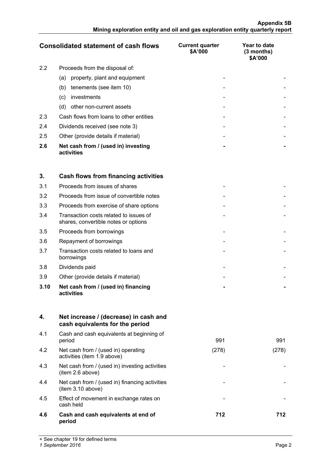|               | <b>Consolidated statement of cash flows</b>       | <b>Current quarter</b><br>\$A'000 | Year to date<br>(3 months)<br>\$A'000 |
|---------------|---------------------------------------------------|-----------------------------------|---------------------------------------|
| $2.2^{\circ}$ | Proceeds from the disposal of:                    |                                   |                                       |
|               | property, plant and equipment<br>(a)              |                                   |                                       |
|               | tenements (see item 10)<br>(b)                    |                                   |                                       |
|               | investments<br>$\left( c\right)$                  |                                   |                                       |
|               | other non-current assets<br>(d)                   |                                   |                                       |
| 2.3           | Cash flows from loans to other entities           |                                   |                                       |
| 2.4           | Dividends received (see note 3)                   |                                   |                                       |
| 2.5           | Other (provide details if material)               |                                   |                                       |
| 2.6           | Net cash from / (used in) investing<br>activities |                                   |                                       |

| 3.   | Cash flows from financing activities                                           |  |
|------|--------------------------------------------------------------------------------|--|
| 3.1  | Proceeds from issues of shares                                                 |  |
| 3.2  | Proceeds from issue of convertible notes                                       |  |
| 3.3  | Proceeds from exercise of share options                                        |  |
| 3.4  | Transaction costs related to issues of<br>shares, convertible notes or options |  |
| 3.5  | Proceeds from borrowings                                                       |  |
| 3.6  | Repayment of borrowings                                                        |  |
| 3.7  | Transaction costs related to loans and<br>borrowings                           |  |
| 3.8  | Dividends paid                                                                 |  |
| 3.9  | Other (provide details if material)                                            |  |
| 3.10 | Net cash from / (used in) financing<br>activities                              |  |

| 4.  | Net increase / (decrease) in cash and<br>cash equivalents for the period |       |       |
|-----|--------------------------------------------------------------------------|-------|-------|
| 4.1 | Cash and cash equivalents at beginning of<br>period                      | 991   | 991   |
| 4.2 | Net cash from / (used in) operating<br>activities (item 1.9 above)       | (278) | (278) |
| 4.3 | Net cash from / (used in) investing activities<br>(item 2.6 above)       |       |       |
| 4.4 | Net cash from / (used in) financing activities<br>(item 3.10 above)      |       |       |
| 4.5 | Effect of movement in exchange rates on<br>cash held                     |       |       |
| 4.6 | Cash and cash equivalents at end of<br>period                            | 712   | 712   |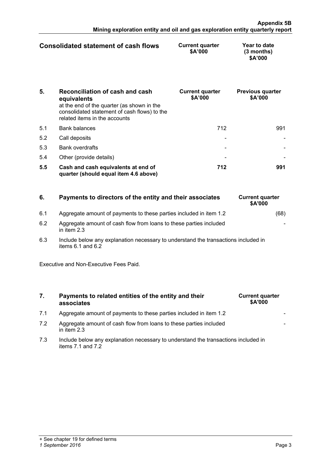| Consolidated statement of cash flows | <b>Current quarter</b><br>\$A'000 | Year to date<br>$(3$ months)<br>\$A'000 |
|--------------------------------------|-----------------------------------|-----------------------------------------|
|                                      |                                   |                                         |

| 5.  | Reconciliation of cash and cash<br>equivalents<br>at the end of the quarter (as shown in the<br>consolidated statement of cash flows) to the<br>related items in the accounts | <b>Current quarter</b><br>\$A'000 | <b>Previous quarter</b><br>\$A'000 |
|-----|-------------------------------------------------------------------------------------------------------------------------------------------------------------------------------|-----------------------------------|------------------------------------|
| 5.1 | <b>Bank balances</b>                                                                                                                                                          | 712                               | 991                                |
| 5.2 | Call deposits                                                                                                                                                                 |                                   |                                    |
| 5.3 | <b>Bank overdrafts</b>                                                                                                                                                        |                                   |                                    |
| 5.4 | Other (provide details)                                                                                                                                                       |                                   |                                    |
| 5.5 | Cash and cash equivalents at end of<br>quarter (should equal item 4.6 above)                                                                                                  | 712                               |                                    |

| 6.  | Payments to directors of the entity and their associates                            | <b>Current quarter</b><br><b>\$A'000</b> |
|-----|-------------------------------------------------------------------------------------|------------------------------------------|
| 6.1 | Aggregate amount of payments to these parties included in item 1.2                  | (68)                                     |
| 6.2 | Aggregate amount of cash flow from loans to these parties included<br>in item $2.3$ |                                          |

6.3 Include below any explanation necessary to understand the transactions included in items 6.1 and 6.2

Executive and Non-Executive Fees Paid.

#### **7. Payments to related entities of the entity and their associates**

- 7.1 Aggregate amount of payments to these parties included in item 1.2
- 7.2 Aggregate amount of cash flow from loans to these parties included in item 2.3
- 7.3 Include below any explanation necessary to understand the transactions included in items 7.1 and 7.2

|  | <b>Current quarter</b> | \$A'000 |  |  |
|--|------------------------|---------|--|--|
|  |                        |         |  |  |
|  |                        |         |  |  |
|  |                        |         |  |  |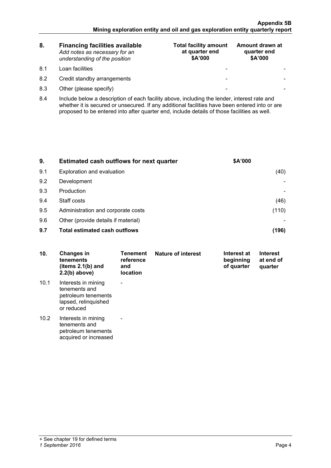| 8.  | <b>Financing facilities available</b><br>Add notes as necessary for an<br>understanding of the position | <b>Total facility amount</b><br>at quarter end<br>\$A'000 | Amount drawn at<br>quarter end<br>\$A'000 |
|-----|---------------------------------------------------------------------------------------------------------|-----------------------------------------------------------|-------------------------------------------|
| 81  | Loan facilities                                                                                         | -                                                         |                                           |
| 8.2 | Credit standby arrangements                                                                             | -                                                         |                                           |
| 8.3 | Other (please specify)                                                                                  | -                                                         |                                           |

8.4 Include below a description of each facility above, including the lender, interest rate and whether it is secured or unsecured. If any additional facilities have been entered into or are proposed to be entered into after quarter end, include details of those facilities as well.

| 9.  | Estimated cash outflows for next quarter | \$A'000 |
|-----|------------------------------------------|---------|
| 9.1 | Exploration and evaluation               |         |
| 9.2 | Development                              |         |
| 9.3 | Production                               |         |
| 9.4 | Staff costs                              |         |
| 9.5 | Administration and corporate costs       |         |
| 9.6 | Other (provide details if material)      |         |
| 9.7 | <b>Total estimated cash outflows</b>     |         |

| 10.  | Changes in<br>tenements<br>(items $2.1(b)$ and<br>$2.2(b)$ above)                                 | Tenement<br>reference<br>and<br><b>location</b> | <b>Nature of interest</b> | Interest at<br>beginning<br>of quarter | <b>Interest</b><br>at end of<br>quarter |
|------|---------------------------------------------------------------------------------------------------|-------------------------------------------------|---------------------------|----------------------------------------|-----------------------------------------|
| 10.1 | Interests in mining<br>tenements and<br>petroleum tenements<br>lapsed, relinquished<br>or reduced |                                                 |                           |                                        |                                         |
| 10.2 | Interests in mining<br>tenements and<br>petroleum tenements<br>acquired or increased              |                                                 |                           |                                        |                                         |